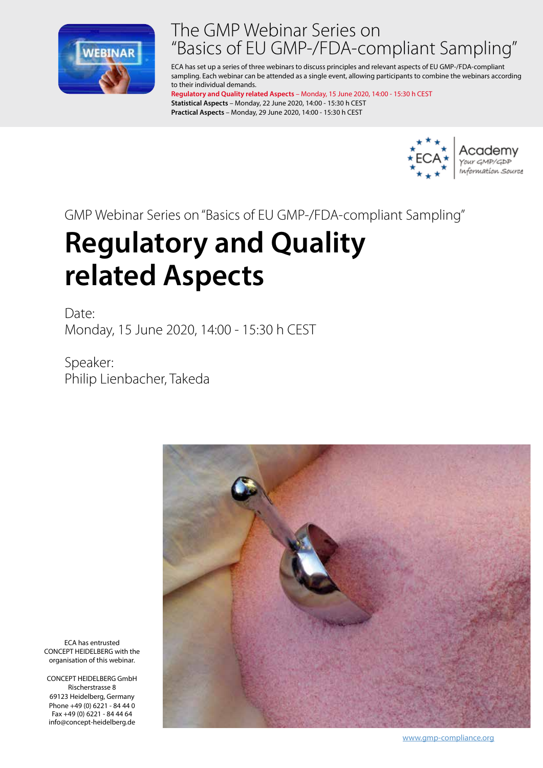

# The GMP Webinar Series on "Basics of EU GMP-/FDA-compliant Sampling"

ECA has set up a series of three webinars to discuss principles and relevant aspects of EU GMP-/FDA-compliant sampling. Each webinar can be attended as a single event, allowing participants to combine the webinars according to their individual demands.

**Regulatory and Quality related Aspects** – Monday, 15 June 2020, 14:00 - 15:30 h CEST **Statistical Aspects** – Monday, 22 June 2020, 14:00 - 15:30 h CEST **Practical Aspects** – Monday, 29 June 2020, 14:00 - 15:30 h CEST



GMP Webinar Series on "Basics of EU GMP-/FDA-compliant Sampling"

# **Regulatory and Quality related Aspects**

Date: Monday, 15 June 2020, 14:00 - 15:30 h CEST

Speaker: Philip Lienbacher, Takeda



ECA has entrusted CONCEPT HEIDELBERG with the organisation of this webinar.

CONCEPT HEIDELBERG GmbH Rischerstrasse 8 69123 Heidelberg, Germany Phone +49 (0) 6221 - 84 44 0 Fax +49 (0) 6221 - 84 44 64 info@concept-heidelberg.de

www.gmp-compliance.org